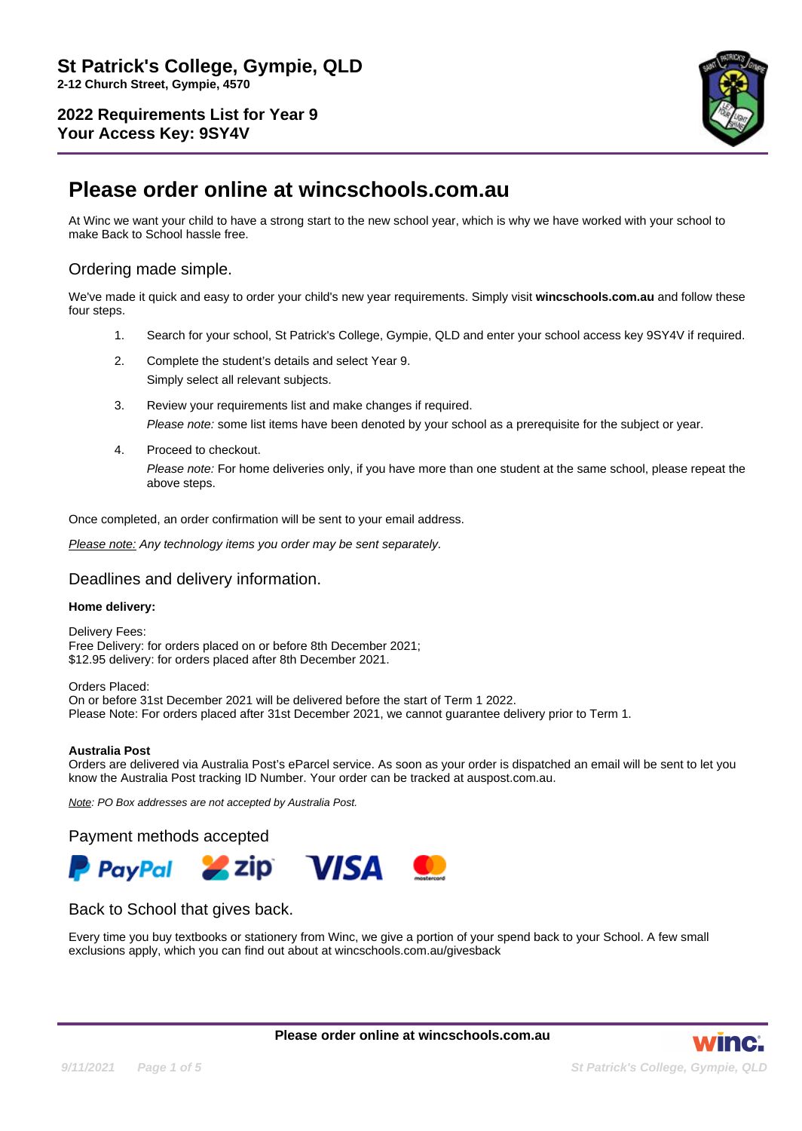

# **Please order online at wincschools.com.au**

At Winc we want your child to have a strong start to the new school year, which is why we have worked with your school to make Back to School hassle free.

# Ordering made simple.

We've made it quick and easy to order your child's new year requirements. Simply visit **wincschools.com.au** and follow these four steps.

- 1. Search for your school, St Patrick's College, Gympie, QLD and enter your school access key 9SY4V if required.
- 2. Complete the student's details and select Year 9.

Simply select all relevant subjects.

- 3. Review your requirements list and make changes if required. Please note: some list items have been denoted by your school as a prerequisite for the subject or year.
- 4. Proceed to checkout. Please note: For home deliveries only, if you have more than one student at the same school, please repeat the above steps.

Once completed, an order confirmation will be sent to your email address.

Please note: Any technology items you order may be sent separately.

### Deadlines and delivery information.

#### **Home delivery:**

Delivery Fees: Free Delivery: for orders placed on or before 8th December 2021; \$12.95 delivery: for orders placed after 8th December 2021.

Orders Placed: On or before 31st December 2021 will be delivered before the start of Term 1 2022. Please Note: For orders placed after 31st December 2021, we cannot guarantee delivery prior to Term 1.

#### **Australia Post**

Orders are delivered via Australia Post's eParcel service. As soon as your order is dispatched an email will be sent to let you know the Australia Post tracking ID Number. Your order can be tracked at auspost.com.au.

Note: PO Box addresses are not accepted by Australia Post.

Payment methods accepted



## Back to School that gives back.

Every time you buy textbooks or stationery from Winc, we give a portion of your spend back to your School. A few small exclusions apply, which you can find out about at wincschools.com.au/givesback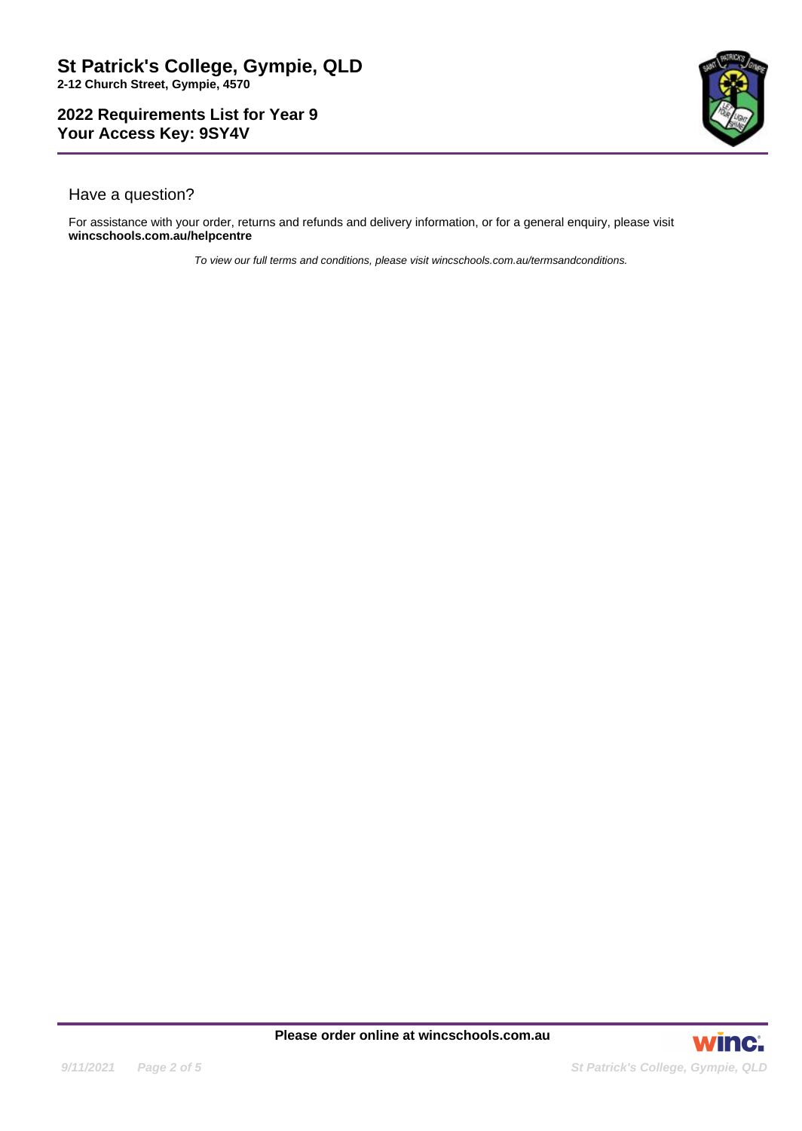

# Have a question?

For assistance with your order, returns and refunds and delivery information, or for a general enquiry, please visit **wincschools.com.au/helpcentre**

To view our full terms and conditions, please visit wincschools.com.au/termsandconditions.

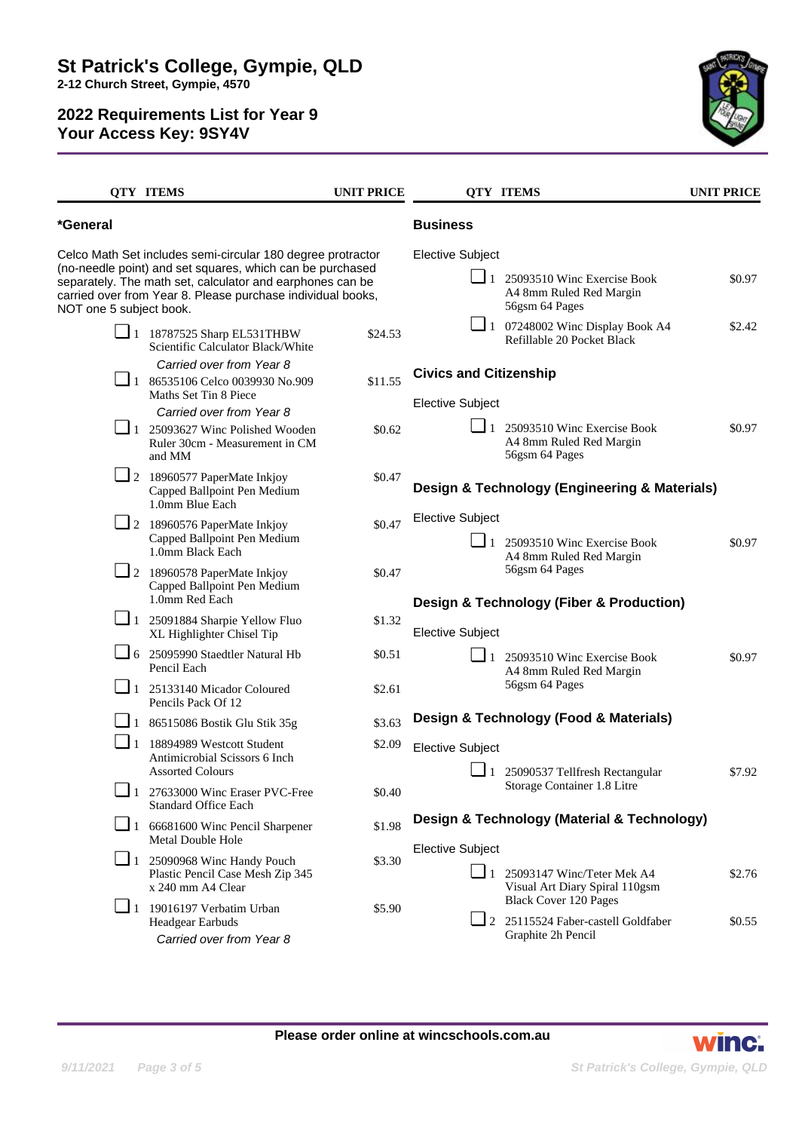

|                         | <b>QTY ITEMS</b>                                                                                                                                                                                                                                     | <b>UNIT PRICE</b>                     |                                                          | <b>QTY ITEMS</b>                                                                                 | <b>UNIT PRICE</b> |
|-------------------------|------------------------------------------------------------------------------------------------------------------------------------------------------------------------------------------------------------------------------------------------------|---------------------------------------|----------------------------------------------------------|--------------------------------------------------------------------------------------------------|-------------------|
| *General                |                                                                                                                                                                                                                                                      |                                       | <b>Business</b>                                          |                                                                                                  |                   |
| NOT one 5 subject book. | Celco Math Set includes semi-circular 180 degree protractor<br>(no-needle point) and set squares, which can be purchased<br>separately. The math set, calculator and earphones can be<br>carried over from Year 8. Please purchase individual books, |                                       | <b>Elective Subject</b>                                  | $\Box$ 1 25093510 Winc Exercise Book<br>A4 8mm Ruled Red Margin<br>56gsm 64 Pages                | \$0.97            |
|                         | $\Box$ 1 18787525 Sharp EL531THBW<br>Scientific Calculator Black/White                                                                                                                                                                               | \$24.53                               |                                                          | $\Box$ 1 07248002 Winc Display Book A4<br>Refillable 20 Pocket Black                             | \$2.42            |
|                         | Carried over from Year 8<br>$\Box$ 1 86535106 Celco 0039930 No.909<br>Maths Set Tin 8 Piece                                                                                                                                                          | \$11.55                               | <b>Civics and Citizenship</b><br><b>Elective Subject</b> |                                                                                                  |                   |
|                         | Carried over from Year 8<br>$\Box$ 1 25093627 Winc Polished Wooden<br>Ruler 30cm - Measurement in CM<br>and MM                                                                                                                                       | \$0.62                                |                                                          | $\boxed{\phantom{0}}$ 1 25093510 Winc Exercise Book<br>A4 8mm Ruled Red Margin<br>56gsm 64 Pages | \$0.97            |
|                         | 2 18960577 PaperMate Inkjoy<br>Capped Ballpoint Pen Medium<br>1.0mm Blue Each                                                                                                                                                                        | \$0.47                                |                                                          | Design & Technology (Engineering & Materials)                                                    |                   |
|                         | $\boxed{\phantom{1}}$ 2 18960576 PaperMate Inkjoy<br>Capped Ballpoint Pen Medium<br>1.0mm Black Each                                                                                                                                                 | \$0.47                                | <b>Elective Subject</b>                                  | $\Box$ 1 25093510 Winc Exercise Book<br>A4 8mm Ruled Red Margin                                  | \$0.97            |
|                         | $\Box$ 2 18960578 PaperMate Inkjoy<br>Capped Ballpoint Pen Medium<br>1.0mm Red Each                                                                                                                                                                  | \$0.47                                |                                                          | 56gsm 64 Pages<br><b>Design &amp; Technology (Fiber &amp; Production)</b>                        |                   |
|                         | $\Box$ 1 25091884 Sharpie Yellow Fluo<br>XL Highlighter Chisel Tip                                                                                                                                                                                   | \$1.32                                | <b>Elective Subject</b>                                  |                                                                                                  |                   |
|                         | $\Box$ 6 25095990 Staedtler Natural Hb<br>Pencil Each                                                                                                                                                                                                | \$0.51                                |                                                          | $\Box$ 1 25093510 Winc Exercise Book<br>A4 8mm Ruled Red Margin                                  | \$0.97            |
|                         | $\Box$ 1 25133140 Micador Coloured<br>Pencils Pack Of 12                                                                                                                                                                                             | \$2.61                                |                                                          | 56gsm 64 Pages                                                                                   |                   |
|                         | $\Box$ 1 86515086 Bostik Glu Stik 35g                                                                                                                                                                                                                | \$3.63                                |                                                          | Design & Technology (Food & Materials)                                                           |                   |
| $\Box$ 1                | 18894989 Westcott Student<br>Antimicrobial Scissors 6 Inch<br><b>Assorted Colours</b>                                                                                                                                                                | \$2.09                                | <b>Elective Subject</b><br>$\sqcup$ 1                    | 25090537 Tellfresh Rectangular                                                                   | \$7.92            |
|                         | 1 27633000 Winc Eraser PVC-Free<br><b>Standard Office Each</b>                                                                                                                                                                                       | Storage Container 1.8 Litre<br>\$0.40 |                                                          |                                                                                                  |                   |
| $\Box$ 1                | 66681600 Winc Pencil Sharpener<br><b>Metal Double Hole</b>                                                                                                                                                                                           | \$1.98                                |                                                          | Design & Technology (Material & Technology)                                                      |                   |
| $\Box$ 1                | 25090968 Winc Handy Pouch<br>Plastic Pencil Case Mesh Zip 345<br>x 240 mm A4 Clear                                                                                                                                                                   | \$3.30                                | <b>Elective Subject</b>                                  | 1 25093147 Winc/Teter Mek A4<br>Visual Art Diary Spiral 110gsm                                   | \$2.76            |
|                         | $\boxed{\phantom{0}}$ 1 19016197 Verbatim Urban<br>Headgear Earbuds<br>Carried over from Year 8                                                                                                                                                      | \$5.90                                |                                                          | <b>Black Cover 120 Pages</b><br>$\Box$ 2 25115524 Faber-castell Goldfaber<br>Graphite 2h Pencil  | \$0.55            |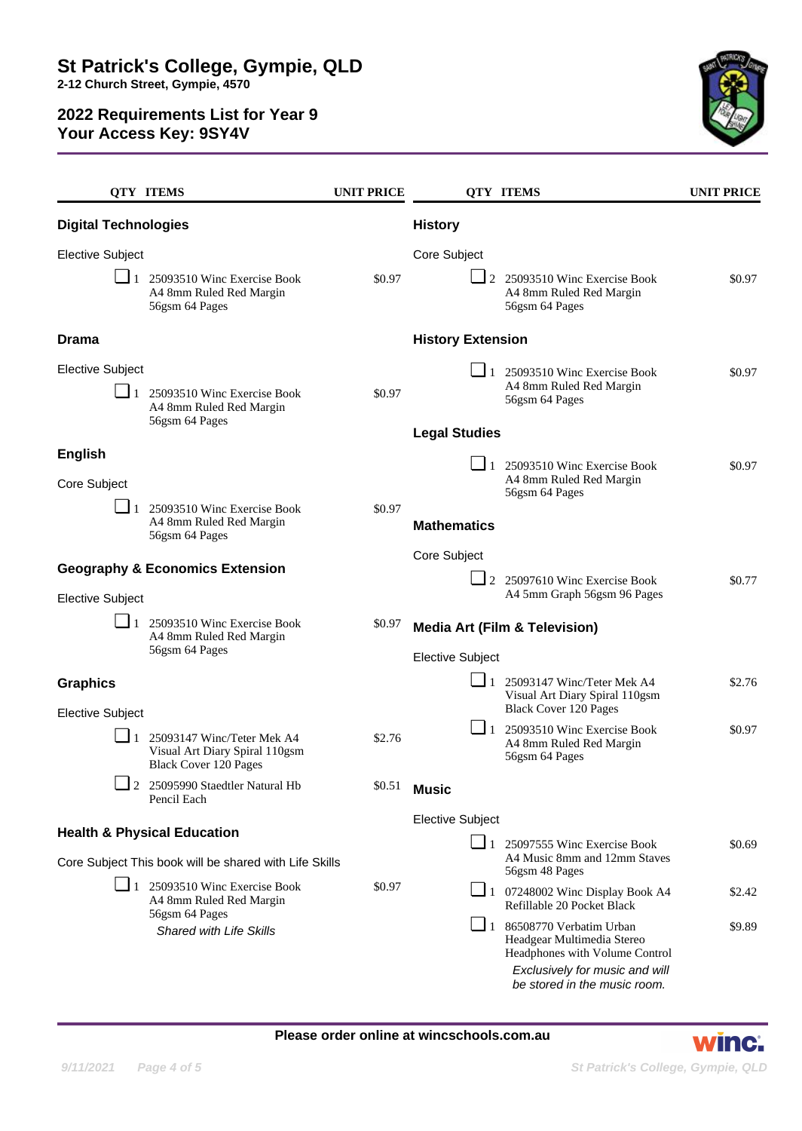

|                                                                                                  | <b>QTY ITEMS</b>                                                                                       | <b>UNIT PRICE</b> |                                                                | <b>OTY ITEMS</b>                                                                                                                                  | <b>UNIT PRICE</b> |  |
|--------------------------------------------------------------------------------------------------|--------------------------------------------------------------------------------------------------------|-------------------|----------------------------------------------------------------|---------------------------------------------------------------------------------------------------------------------------------------------------|-------------------|--|
| <b>Digital Technologies</b>                                                                      |                                                                                                        |                   | <b>History</b>                                                 |                                                                                                                                                   |                   |  |
| <b>Elective Subject</b>                                                                          |                                                                                                        |                   | Core Subject                                                   |                                                                                                                                                   |                   |  |
|                                                                                                  | $\blacksquare$ 1 25093510 Winc Exercise Book<br>A4 8mm Ruled Red Margin<br>56gsm 64 Pages              | \$0.97            |                                                                | 2 25093510 Winc Exercise Book<br>A4 8mm Ruled Red Margin<br>56gsm 64 Pages                                                                        | \$0.97            |  |
| <b>Drama</b>                                                                                     |                                                                                                        |                   | <b>History Extension</b>                                       |                                                                                                                                                   |                   |  |
| <b>Elective Subject</b>                                                                          |                                                                                                        |                   |                                                                | $\blacksquare$ 1 25093510 Winc Exercise Book                                                                                                      | \$0.97            |  |
|                                                                                                  | $\Box$ 1 25093510 Winc Exercise Book<br>A4 8mm Ruled Red Margin<br>56gsm 64 Pages                      | \$0.97            |                                                                | A4 8mm Ruled Red Margin<br>56gsm 64 Pages                                                                                                         |                   |  |
|                                                                                                  |                                                                                                        |                   | <b>Legal Studies</b>                                           |                                                                                                                                                   |                   |  |
| <b>English</b><br>Core Subject                                                                   |                                                                                                        |                   |                                                                | 1 25093510 Winc Exercise Book<br>A4 8mm Ruled Red Margin<br>56gsm 64 Pages                                                                        | \$0.97            |  |
|                                                                                                  | 25093510 Winc Exercise Book<br>A4 8mm Ruled Red Margin<br>56gsm 64 Pages                               | \$0.97            | <b>Mathematics</b>                                             |                                                                                                                                                   |                   |  |
|                                                                                                  |                                                                                                        |                   | Core Subject                                                   |                                                                                                                                                   |                   |  |
| <b>Geography &amp; Economics Extension</b>                                                       |                                                                                                        |                   |                                                                | 2 25097610 Winc Exercise Book                                                                                                                     | \$0.77            |  |
| <b>Elective Subject</b>                                                                          |                                                                                                        |                   |                                                                | A4 5mm Graph 56gsm 96 Pages                                                                                                                       |                   |  |
|                                                                                                  | $\Box$ 1 25093510 Winc Exercise Book<br>A4 8mm Ruled Red Margin<br>56gsm 64 Pages                      | \$0.97            |                                                                | <b>Media Art (Film &amp; Television)</b>                                                                                                          |                   |  |
|                                                                                                  |                                                                                                        |                   | <b>Elective Subject</b><br>$\Box$ 1 25093147 Winc/Teter Mek A4 |                                                                                                                                                   | \$2.76            |  |
| <b>Graphics</b><br><b>Elective Subject</b>                                                       |                                                                                                        |                   |                                                                | Visual Art Diary Spiral 110gsm<br><b>Black Cover 120 Pages</b>                                                                                    |                   |  |
|                                                                                                  | $\perp$ 1 25093147 Winc/Teter Mek A4<br>Visual Art Diary Spiral 110gsm<br><b>Black Cover 120 Pages</b> | \$2.76            |                                                                | $\Box$ 1 25093510 Winc Exercise Book<br>A4 8mm Ruled Red Margin<br>56gsm 64 Pages                                                                 | \$0.97            |  |
|                                                                                                  | 2 25095990 Staedtler Natural Hb<br>Pencil Each                                                         | \$0.51            | <b>Music</b>                                                   |                                                                                                                                                   |                   |  |
|                                                                                                  |                                                                                                        |                   | <b>Elective Subject</b>                                        |                                                                                                                                                   |                   |  |
| <b>Health &amp; Physical Education</b><br>Core Subject This book will be shared with Life Skills |                                                                                                        |                   |                                                                | $\blacksquare$ 1 25097555 Winc Exercise Book<br>A4 Music 8mm and 12mm Staves<br>56gsm 48 Pages                                                    | \$0.69            |  |
|                                                                                                  | $\Box$ 1 25093510 Winc Exercise Book<br>A4 8mm Ruled Red Margin                                        | \$0.97            |                                                                | $\Box$ 1 07248002 Winc Display Book A4<br>Refillable 20 Pocket Black                                                                              | \$2.42            |  |
|                                                                                                  | 56gsm 64 Pages<br>Shared with Life Skills                                                              |                   |                                                                | $\boxed{\phantom{0}}$ 1 86508770 Verbatim Urban<br>Headgear Multimedia Stereo<br>Headphones with Volume Control<br>Exclusively for music and will | \$9.89            |  |
|                                                                                                  |                                                                                                        |                   |                                                                | be stored in the music room.                                                                                                                      |                   |  |